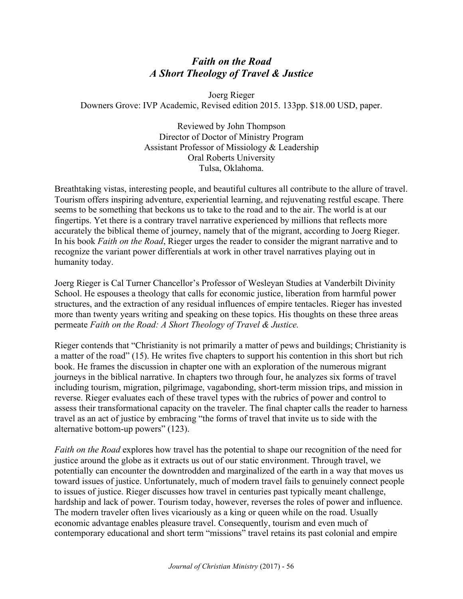## *Faith on the Road A Short Theology of Travel & Justice*

Joerg Rieger Downers Grove: IVP Academic, Revised edition 2015. 133pp. \$18.00 USD, paper.

> Reviewed by John Thompson Director of Doctor of Ministry Program Assistant Professor of Missiology & Leadership Oral Roberts University Tulsa, Oklahoma.

Breathtaking vistas, interesting people, and beautiful cultures all contribute to the allure of travel. Tourism offers inspiring adventure, experiential learning, and rejuvenating restful escape. There seems to be something that beckons us to take to the road and to the air. The world is at our fingertips. Yet there is a contrary travel narrative experienced by millions that reflects more accurately the biblical theme of journey, namely that of the migrant, according to Joerg Rieger. In his book *Faith on the Road*, Rieger urges the reader to consider the migrant narrative and to recognize the variant power differentials at work in other travel narratives playing out in humanity today.

Joerg Rieger is Cal Turner Chancellor's Professor of Wesleyan Studies at Vanderbilt Divinity School. He espouses a theology that calls for economic justice, liberation from harmful power structures, and the extraction of any residual influences of empire tentacles. Rieger has invested more than twenty years writing and speaking on these topics. His thoughts on these three areas permeate *Faith on the Road: A Short Theology of Travel & Justice.*

Rieger contends that "Christianity is not primarily a matter of pews and buildings; Christianity is a matter of the road" (15). He writes five chapters to support his contention in this short but rich book. He frames the discussion in chapter one with an exploration of the numerous migrant journeys in the biblical narrative. In chapters two through four, he analyzes six forms of travel including tourism, migration, pilgrimage, vagabonding, short-term mission trips, and mission in reverse. Rieger evaluates each of these travel types with the rubrics of power and control to assess their transformational capacity on the traveler. The final chapter calls the reader to harness travel as an act of justice by embracing "the forms of travel that invite us to side with the alternative bottom-up powers" (123).

*Faith on the Road* explores how travel has the potential to shape our recognition of the need for justice around the globe as it extracts us out of our static environment. Through travel, we potentially can encounter the downtrodden and marginalized of the earth in a way that moves us toward issues of justice. Unfortunately, much of modern travel fails to genuinely connect people to issues of justice. Rieger discusses how travel in centuries past typically meant challenge, hardship and lack of power. Tourism today, however, reverses the roles of power and influence. The modern traveler often lives vicariously as a king or queen while on the road. Usually economic advantage enables pleasure travel. Consequently, tourism and even much of contemporary educational and short term "missions" travel retains its past colonial and empire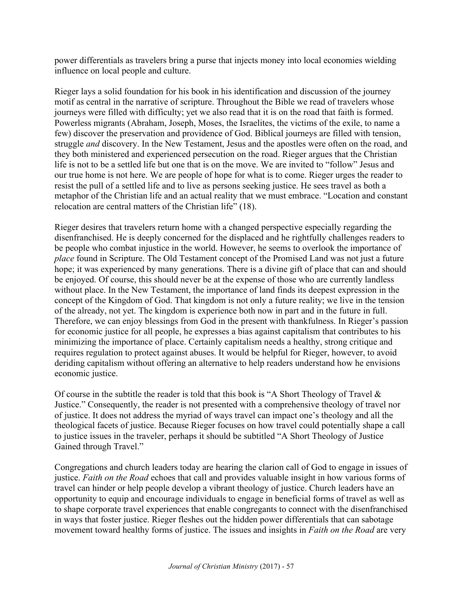power differentials as travelers bring a purse that injects money into local economies wielding influence on local people and culture.

Rieger lays a solid foundation for his book in his identification and discussion of the journey motif as central in the narrative of scripture. Throughout the Bible we read of travelers whose journeys were filled with difficulty; yet we also read that it is on the road that faith is formed. Powerless migrants (Abraham, Joseph, Moses, the Israelites, the victims of the exile, to name a few) discover the preservation and providence of God. Biblical journeys are filled with tension, struggle *and* discovery. In the New Testament, Jesus and the apostles were often on the road, and they both ministered and experienced persecution on the road. Rieger argues that the Christian life is not to be a settled life but one that is on the move. We are invited to "follow" Jesus and our true home is not here. We are people of hope for what is to come. Rieger urges the reader to resist the pull of a settled life and to live as persons seeking justice. He sees travel as both a metaphor of the Christian life and an actual reality that we must embrace. "Location and constant relocation are central matters of the Christian life" (18).

Rieger desires that travelers return home with a changed perspective especially regarding the disenfranchised. He is deeply concerned for the displaced and he rightfully challenges readers to be people who combat injustice in the world. However, he seems to overlook the importance of *place* found in Scripture. The Old Testament concept of the Promised Land was not just a future hope; it was experienced by many generations. There is a divine gift of place that can and should be enjoyed. Of course, this should never be at the expense of those who are currently landless without place. In the New Testament, the importance of land finds its deepest expression in the concept of the Kingdom of God. That kingdom is not only a future reality; we live in the tension of the already, not yet. The kingdom is experience both now in part and in the future in full. Therefore, we can enjoy blessings from God in the present with thankfulness. In Rieger's passion for economic justice for all people, he expresses a bias against capitalism that contributes to his minimizing the importance of place. Certainly capitalism needs a healthy, strong critique and requires regulation to protect against abuses. It would be helpful for Rieger, however, to avoid deriding capitalism without offering an alternative to help readers understand how he envisions economic justice.

Of course in the subtitle the reader is told that this book is "A Short Theology of Travel  $\&$ Justice." Consequently, the reader is not presented with a comprehensive theology of travel nor of justice. It does not address the myriad of ways travel can impact one's theology and all the theological facets of justice. Because Rieger focuses on how travel could potentially shape a call to justice issues in the traveler, perhaps it should be subtitled "A Short Theology of Justice Gained through Travel."

Congregations and church leaders today are hearing the clarion call of God to engage in issues of justice. *Faith on the Road* echoes that call and provides valuable insight in how various forms of travel can hinder or help people develop a vibrant theology of justice. Church leaders have an opportunity to equip and encourage individuals to engage in beneficial forms of travel as well as to shape corporate travel experiences that enable congregants to connect with the disenfranchised in ways that foster justice. Rieger fleshes out the hidden power differentials that can sabotage movement toward healthy forms of justice. The issues and insights in *Faith on the Road* are very